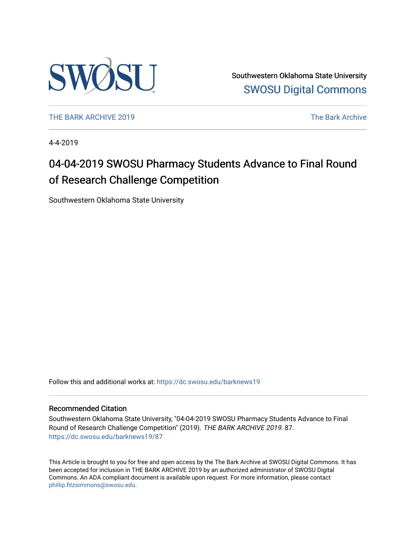

Southwestern Oklahoma State University [SWOSU Digital Commons](https://dc.swosu.edu/) 

[THE BARK ARCHIVE 2019](https://dc.swosu.edu/barknews19) The Bark Archive

4-4-2019

### 04-04-2019 SWOSU Pharmacy Students Advance to Final Round of Research Challenge Competition

Southwestern Oklahoma State University

Follow this and additional works at: [https://dc.swosu.edu/barknews19](https://dc.swosu.edu/barknews19?utm_source=dc.swosu.edu%2Fbarknews19%2F87&utm_medium=PDF&utm_campaign=PDFCoverPages)

#### Recommended Citation

Southwestern Oklahoma State University, "04-04-2019 SWOSU Pharmacy Students Advance to Final Round of Research Challenge Competition" (2019). THE BARK ARCHIVE 2019. 87. [https://dc.swosu.edu/barknews19/87](https://dc.swosu.edu/barknews19/87?utm_source=dc.swosu.edu%2Fbarknews19%2F87&utm_medium=PDF&utm_campaign=PDFCoverPages) 

This Article is brought to you for free and open access by the The Bark Archive at SWOSU Digital Commons. It has been accepted for inclusion in THE BARK ARCHIVE 2019 by an authorized administrator of SWOSU Digital Commons. An ADA compliant document is available upon request. For more information, please contact [phillip.fitzsimmons@swosu.edu](mailto:phillip.fitzsimmons@swosu.edu).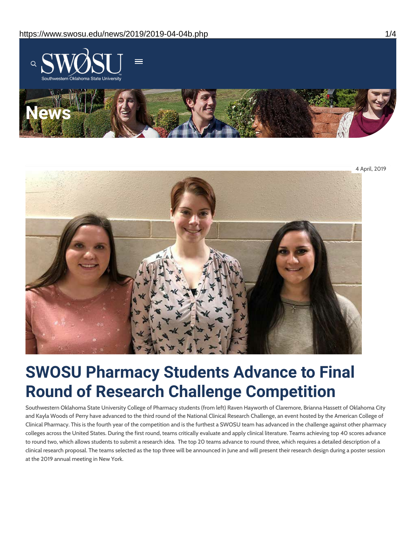



# **SWOSU Pharmacy Students Advance to Final Round of Research Challenge Competition**

Southwestern Oklahoma State University College of Pharmacy students (from left) Raven Hayworth of Claremore, Brianna Hassett of Oklahoma City and Kayla Woods of Perry have advanced to the third round of the National Clinical Research Challenge, an event hosted by the American College of Clinical Pharmacy. This is the fourth year of the competition and is the furthest a SWOSU team has advanced in the challenge against other pharmacy colleges across the United States. During the first round, teams critically evaluate and apply clinical literature. Teams achieving top 40 scores advance to round two, which allows students to submit a research idea. The top 20 teams advance to round three, which requires a detailed description of a clinical research proposal. The teams selected as the top three will be announced in June and will present their research design during a poster session at the 2019 annual meeting in New York.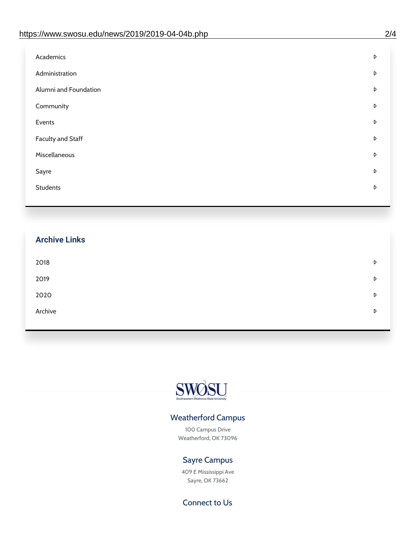| Administration<br>D<br>Alumni and Foundation<br>D<br>Community<br>D<br>Events<br>D | Academics | D |
|------------------------------------------------------------------------------------|-----------|---|
|                                                                                    |           |   |
|                                                                                    |           |   |
|                                                                                    |           |   |
|                                                                                    |           |   |
| <b>Faculty and Staff</b><br>D                                                      |           |   |
| Miscellaneous<br>D                                                                 |           |   |
| Sayre<br>D                                                                         |           |   |
| <b>Students</b><br>D                                                               |           |   |

## **Archive Links**  $2018$  $2019$ [2020](https://www.swosu.edu/news/2020/index.php)  $\bullet$ [Archive](https://dc.swosu.edu/bark/) **Archive Archive Archive Archive Archive** Archive Archive Archive Archive Archive Archive Archive Archive



### Weatherford Campus

100 Campus Drive Weatherford, OK 73096

### Sayre Campus

409 E Mississippi Ave Sayre, OK 73662

Connect to Us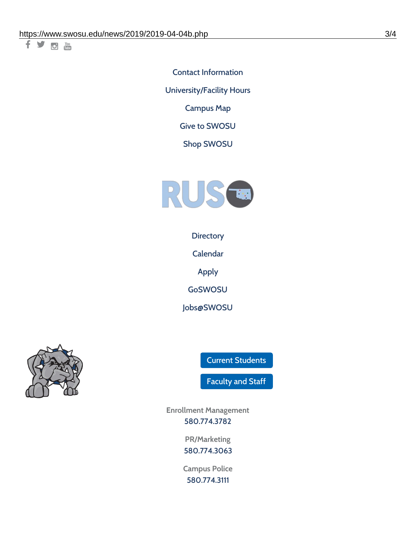千岁回调

Contact [Information](https://www.swosu.edu/about/contact.php) [University/Facility](https://www.swosu.edu/about/operating-hours.php) Hours [Campus](https://map.concept3d.com/?id=768#!ct/10964,10214,10213,10212,10205,10204,10203,10202,10136,10129,10128,0,31226,10130,10201,10641,0) Map

Give to [SWOSU](https://standingfirmly.com/donate)

Shop [SWOSU](https://shopswosu.merchorders.com/)



**[Directory](https://www.swosu.edu/directory/index.php)** 

[Calendar](https://eventpublisher.dudesolutions.com/swosu/)

[Apply](https://www.swosu.edu/admissions/apply-to-swosu.php)

[GoSWOSU](https://qlsso.quicklaunchsso.com/home/1267)

[Jobs@SWOSU](https://swosu.csod.com/ux/ats/careersite/1/home?c=swosu)



Current [Students](https://bulldog.swosu.edu/index.php)

[Faculty](https://bulldog.swosu.edu/faculty-staff/index.php) and Staff

**Enrollment Management** [580.774.3782](tel:5807743782)

> **PR/Marketing** [580.774.3063](tel:5807743063)

**Campus Police** [580.774.3111](tel:5807743111)